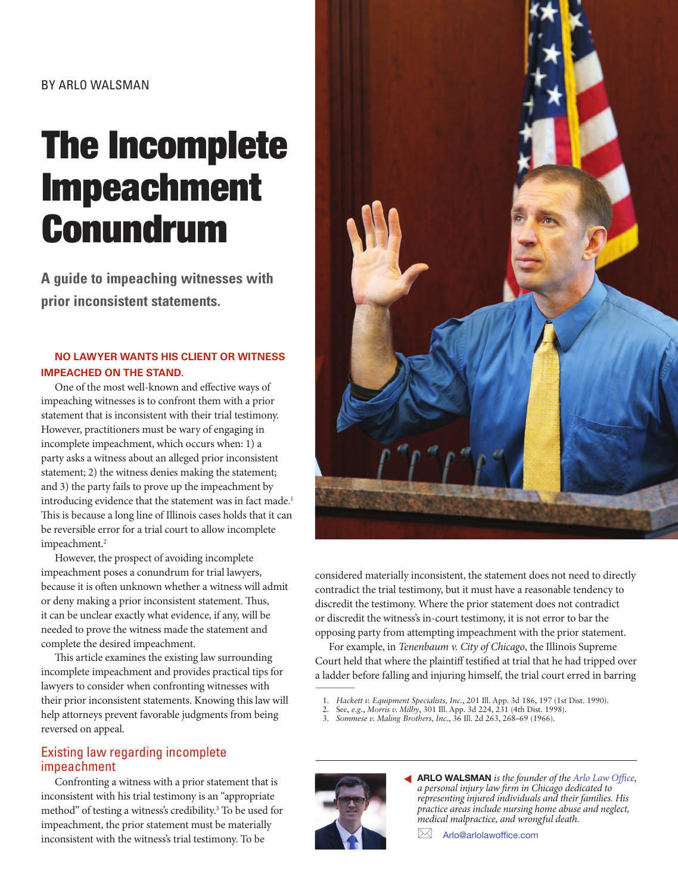# The Incomplete Impeachment Conundrum

**A guide to impeaching witnesses with prior inconsistent statements.**

#### **NO LAWYER WANTS HIS CLIENT OR WITNESS IMPEACHED ON THE STAND.**

One of the most well-known and effective ways of impeaching witnesses is to confront them with a prior statement that is inconsistent with their trial testimony. However, practitioners must be wary of engaging in incomplete impeachment, which occurs when: 1) a party asks a witness about an alleged prior inconsistent statement; 2) the witness denies making the statement; and 3) the party fails to prove up the impeachment by introducing evidence that the statement was in fact made.<sup>1</sup> This is because a long line of Illinois cases holds that it can be reversible error for a trial court to allow incomplete impeachment.<sup>2</sup>

However, the prospect of avoiding incomplete impeachment poses a conundrum for trial lawyers, because it is often unknown whether a witness will admit or deny making a prior inconsistent statement. Thus, it can be unclear exactly what evidence, if any, will be needed to prove the witness made the statement and complete the desired impeachment.

This article examines the existing law surrounding incomplete impeachment and provides practical tips for lawyers to consider when confronting witnesses with their prior inconsistent statements. Knowing this law will help attorneys prevent favorable judgments from being reversed on appeal.

### Existing law regarding incomplete impeachment

Confronting a witness with a prior statement that is inconsistent with his trial testimony is an "appropriate method" of testing a witness's credibility.<sup>3</sup> To be used for impeachment, the prior statement must be materially inconsistent with the witness's trial testimony. To be



considered materially inconsistent, the statement does not need to directly contradict the trial testimony, but it must have a reasonable tendency to discredit the testimony. Where the prior statement does not contradict or discredit the witness's in-court testimony, it is not error to bar the opposing party from attempting impeachment with the prior statement.

 $\overline{\phantom{a}}$ For example, in *Tenenbaum v. City of Chicago*, the Illinois Supreme Court held that where the plaintiff testified at trial that he had tripped over a ladder before falling and injuring himself, the trial court erred in barring

- 1. *Hackett v. Equipment Specialists, Inc.*, 201 Ill. App. 3d 186, 197 (1st Dist. 1990).
- 2. See, *e.g.*, *Morris v. Milby*, 301 Ill. App. 3d 224, 231 (4th Dist. 1998).
- 3. *Sommese v. Maling Brothers, Inc.*, 36 Ill. 2d 263, 268–69 (1966).



ARLO WALSMAN *is the founder of the [Arlo Law Office,](https://https://www.arlolawoffice.com/)*  ▼ *a personal injury law firm in Chicago dedicated to representing injured individuals and their families. His practice areas include nursing home abuse and neglect, medical malpractice, and wrongful death.* 

Arlo@arlolawoffice.com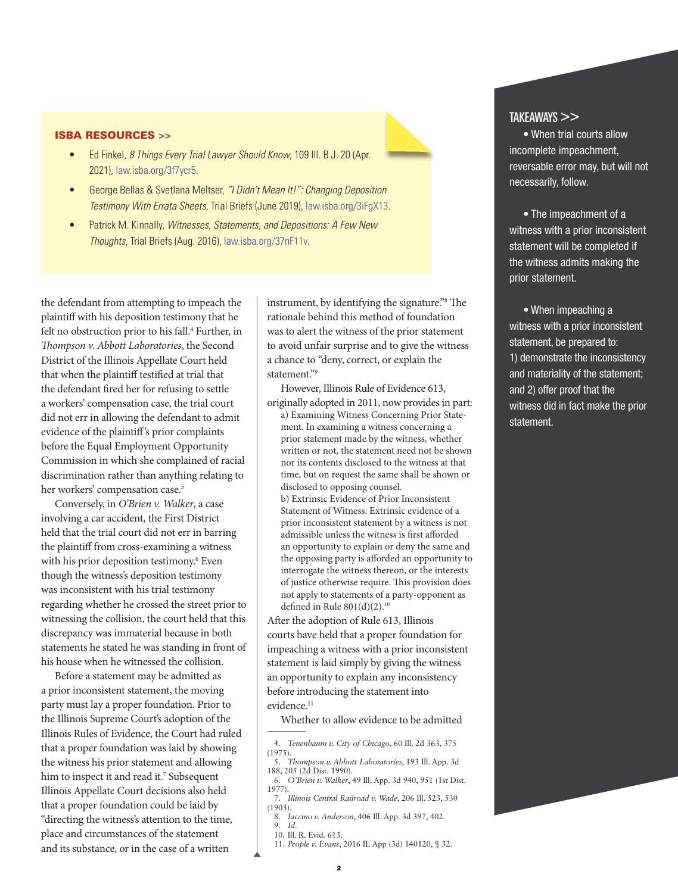#### ISBA RESOURCES >>

- Ed Finkel, *8 Things Every Trial Lawyer Should Know*, 109 Ill. B.J. 20 (Apr. 2021), [law.isba.org/3f7ycr5.](https://law.isba.org/3f7ycr5)
- George Bellas & Svetlana Meltser, *"I Didn't Mean It!": Changing Deposition Testimony With Errata Sheets*, Trial Briefs (June 2019), [law.isba.org/3iFgX13](https://law.isba.org/3iFgX13).
- Patrick M. Kinnally, *Witnesses, Statements, and Depositions: A Few New Thoughts*, Trial Briefs (Aug. 2016), [law.isba.org/37nF11v.](https://law.isba.org/37nF11v)

the defendant from attempting to impeach the plaintiff with his deposition testimony that he felt no obstruction prior to his fall.<sup>4</sup> Further, in *Thompson v. Abbott Laboratories*, the Second District of the Illinois Appellate Court held that when the plaintiff testified at trial that the defendant fired her for refusing to settle a workers' compensation case, the trial court did not err in allowing the defendant to admit evidence of the plaintiff's prior complaints before the Equal Employment Opportunity Commission in which she complained of racial discrimination rather than anything relating to her workers' compensation case.<sup>5</sup>

Conversely, in *O'Brien v. Walker*, a case involving a car accident, the First District held that the trial court did not err in barring the plaintiff from cross-examining a witness with his prior deposition testimony.<sup>6</sup> Even though the witness's deposition testimony was inconsistent with his trial testimony regarding whether he crossed the street prior to witnessing the collision, the court held that this discrepancy was immaterial because in both statements he stated he was standing in front of his house when he witnessed the collision.

Before a statement may be admitted as a prior inconsistent statement, the moving party must lay a proper foundation. Prior to the Illinois Supreme Court's adoption of the Illinois Rules of Evidence, the Court had ruled that a proper foundation was laid by showing the witness his prior statement and allowing him to inspect it and read it.<sup>7</sup> Subsequent Illinois Appellate Court decisions also held that a proper foundation could be laid by "directing the witness's attention to the time, place and circumstances of the statement and its substance, or in the case of a written

instrument, by identifying the signature."8 The rationale behind this method of foundation was to alert the witness of the prior statement to avoid unfair surprise and to give the witness a chance to "deny, correct, or explain the statement."9

However, Illinois Rule of Evidence 613, originally adopted in 2011, now provides in part:

a) Examining Witness Concerning Prior Statement. In examining a witness concerning a prior statement made by the witness, whether written or not, the statement need not be shown nor its contents disclosed to the witness at that time, but on request the same shall be shown or disclosed to opposing counsel. b) Extrinsic Evidence of Prior Inconsistent Statement of Witness. Extrinsic evidence of a prior inconsistent statement by a witness is not admissible unless the witness is first afforded an opportunity to explain or deny the same and the opposing party is afforded an opportunity to

interrogate the witness thereon, or the interests of justice otherwise require. This provision does not apply to statements of a party-opponent as defined in Rule  $801(d)(2).$ <sup>10</sup>

After the adoption of Rule 613, Illinois courts have held that a proper foundation for impeaching a witness with a prior inconsistent statement is laid simply by giving the witness an opportunity to explain any inconsistency before introducing the statement into evidence.<sup>11</sup>

Whether to allow evidence to be admitted  $\overline{\phantom{a}}$ 

11. *People v. Evans*, 2016 IL App (3d) 140120, ¶ 32.

#### TAKEAWAYS >>

• When trial courts allow incomplete impeachment, reversable error may, but will not necessarily, follow.

• The impeachment of a witness with a prior inconsistent statement will be completed if the witness admits making the prior statement.

• When impeaching a witness with a prior inconsistent statement, be prepared to: 1) demonstrate the inconsistency and materiality of the statement; and 2) offer proof that the witness did in fact make the prior statement.

<sup>4.</sup> *Tenenbaum v. City of Chicago*, 60 Ill. 2d 363, 375 (1975).

<sup>5.</sup> *Thompson v. Abbott Laboratories*, 193 Ill. App. 3d 188, 205 (2d Dist. 1990). 6. *O'Brien v. Walker*, 49 Ill. App. 3d 940, 951 (1st Dist.

<sup>1977).</sup>

<sup>7.</sup> *Illinois Central Railroad v. Wade*, 206 Ill. 523, 530  $(1903)$ .

<sup>8.</sup> *Iaccino v. Anderson*, 406 Ill. App. 3d 397, 402. 9. *Id*.

<sup>10.</sup> Ill. R. Evid. 613.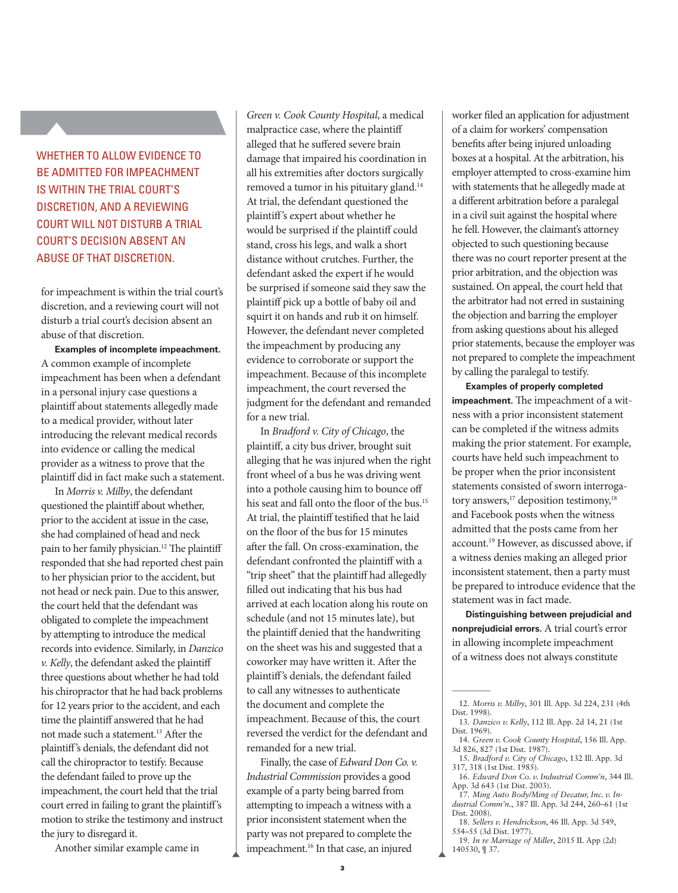## WHETHER TO ALLOW EVIDENCE TO BE ADMITTED FOR IMPEACHMENT IS WITHIN THE TRIAL COURT'S DISCRETION, AND A REVIEWING COURT WILL NOT DISTURB A TRIAL COURT'S DECISION ABSENT AN ABUSE OF THAT DISCRETION.

for impeachment is within the trial court's discretion, and a reviewing court will not disturb a trial court's decision absent an abuse of that discretion.

**Examples of incomplete impeachment.** A common example of incomplete impeachment has been when a defendant in a personal injury case questions a plaintiff about statements allegedly made to a medical provider, without later introducing the relevant medical records into evidence or calling the medical provider as a witness to prove that the plaintiff did in fact make such a statement.

In *Morris v. Milby*, the defendant questioned the plaintiff about whether, prior to the accident at issue in the case, she had complained of head and neck pain to her family physician.12 The plaintiff responded that she had reported chest pain to her physician prior to the accident, but not head or neck pain. Due to this answer, the court held that the defendant was obligated to complete the impeachment by attempting to introduce the medical records into evidence. Similarly, in *Danzico v. Kelly*, the defendant asked the plaintiff three questions about whether he had told his chiropractor that he had back problems for 12 years prior to the accident, and each time the plaintiff answered that he had not made such a statement.13 After the plaintiff's denials, the defendant did not call the chiropractor to testify. Because the defendant failed to prove up the impeachment, the court held that the trial court erred in failing to grant the plaintiff's motion to strike the testimony and instruct the jury to disregard it.

Another similar example came in

*Green v. Cook County Hospital*, a medical malpractice case, where the plaintiff alleged that he suffered severe brain damage that impaired his coordination in all his extremities after doctors surgically removed a tumor in his pituitary gland.<sup>14</sup> At trial, the defendant questioned the plaintiff's expert about whether he would be surprised if the plaintiff could stand, cross his legs, and walk a short distance without crutches. Further, the defendant asked the expert if he would be surprised if someone said they saw the plaintiff pick up a bottle of baby oil and squirt it on hands and rub it on himself. However, the defendant never completed the impeachment by producing any evidence to corroborate or support the impeachment. Because of this incomplete impeachment, the court reversed the judgment for the defendant and remanded for a new trial.

In *Bradford v. City of Chicago*, the plaintiff, a city bus driver, brought suit alleging that he was injured when the right front wheel of a bus he was driving went into a pothole causing him to bounce off his seat and fall onto the floor of the bus.15 At trial, the plaintiff testified that he laid on the floor of the bus for 15 minutes after the fall. On cross-examination, the defendant confronted the plaintiff with a "trip sheet" that the plaintiff had allegedly filled out indicating that his bus had arrived at each location along his route on schedule (and not 15 minutes late), but the plaintiff denied that the handwriting on the sheet was his and suggested that a coworker may have written it. After the plaintiff's denials, the defendant failed to call any witnesses to authenticate the document and complete the impeachment. Because of this, the court reversed the verdict for the defendant and remanded for a new trial.

Finally, the case of *Edward Don Co. v. Industrial Commission* provides a good example of a party being barred from attempting to impeach a witness with a prior inconsistent statement when the party was not prepared to complete the impeachment.16 In that case, an injured

worker filed an application for adjustment of a claim for workers' compensation benefits after being injured unloading boxes at a hospital. At the arbitration, his employer attempted to cross-examine him with statements that he allegedly made at a different arbitration before a paralegal in a civil suit against the hospital where he fell. However, the claimant's attorney objected to such questioning because there was no court reporter present at the prior arbitration, and the objection was sustained. On appeal, the court held that the arbitrator had not erred in sustaining the objection and barring the employer from asking questions about his alleged prior statements, because the employer was not prepared to complete the impeachment by calling the paralegal to testify.

**Examples of properly completed impeachment.** The impeachment of a witness with a prior inconsistent statement can be completed if the witness admits making the prior statement. For example, courts have held such impeachment to be proper when the prior inconsistent statements consisted of sworn interrogatory answers,<sup>17</sup> deposition testimony,<sup>18</sup> and Facebook posts when the witness admitted that the posts came from her account.19 However, as discussed above, if a witness denies making an alleged prior inconsistent statement, then a party must be prepared to introduce evidence that the statement was in fact made.

**Distinguishing between prejudicial and nonprejudicial errors.** A trial court's error in allowing incomplete impeachment of a witness does not always constitute

 $\overline{\phantom{a}}$ 

17. *Ming Auto Body/Ming of Decatur, Inc. v. Industrial Comm'n.*, 387 Ill. App. 3d 244, 260–61 (1st Dist. 2008).

<sup>12.</sup> *Morris v. Milby*, 301 Ill. App. 3d 224, 231 (4th Dist. 1998).

<sup>13.</sup> *Danzico v. Kelly*, 112 Ill. App. 2d 14, 21 (1st Dist. 1969).

<sup>14.</sup> *Green v. Cook County Hospital*, 156 Ill. App. 3d 826, 827 (1st Dist. 1987). 15. *Bradford v. City of Chicago*, 132 Ill. App. 3d

<sup>317, 318 (1</sup>st Dist. 1985).

<sup>16.</sup> *Edward Don Co. v. Industrial Comm'n*, 344 Ill. App. 3d 643 (1st Dist. 2003).

<sup>18.</sup> *Sellers v. Hendrickson*, 46 Ill. App. 3d 549, 554–55 (3d Dist. 1977).

<sup>19.</sup> *In re Marriage of Miller*, 2015 IL App (2d) 140530, ¶ 37.